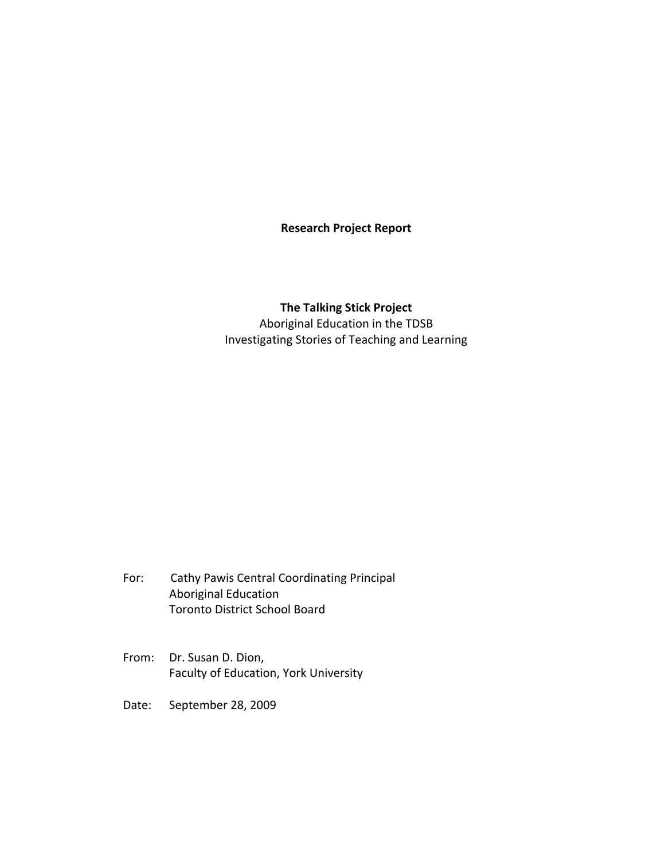# **Research Project Report**

# **The Talking Stick Project** Aboriginal Education in the TDSB Investigating Stories of Teaching and Learning

- For: Cathy Pawis Central Coordinating Principal Aboriginal Education Toronto District School Board
- From: Dr. Susan D. Dion, Faculty of Education, York University
- Date: September 28, 2009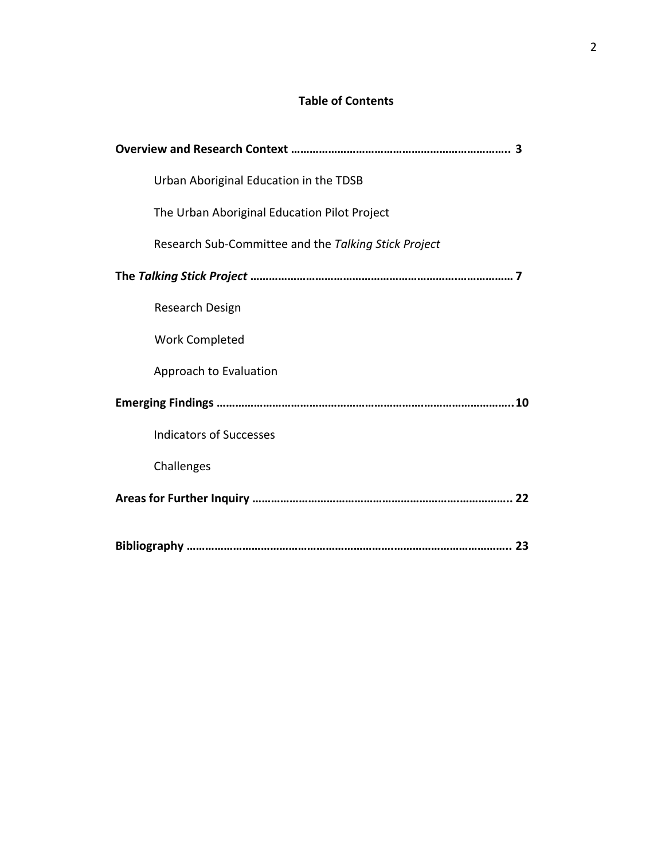# **Table of Contents**

| Urban Aboriginal Education in the TDSB               |
|------------------------------------------------------|
| The Urban Aboriginal Education Pilot Project         |
| Research Sub-Committee and the Talking Stick Project |
|                                                      |
| Research Design                                      |
| <b>Work Completed</b>                                |
| Approach to Evaluation                               |
|                                                      |
| <b>Indicators of Successes</b>                       |
| Challenges                                           |
|                                                      |
|                                                      |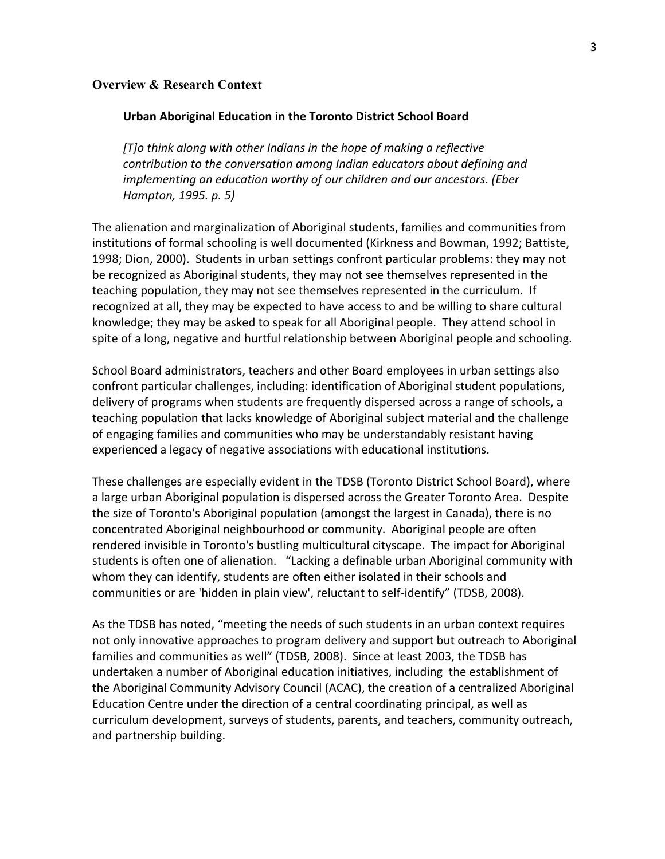#### **Overview & Research Context**

#### **Urban Aboriginal Education in the Toronto District School Board**

*[T]o think along with other Indians in the hope of making a reflective contribution to the conversation among Indian educators about defining and implementing an education worthy of our children and our ancestors. (Eber Hampton,(1995.(p.(5)*

The alienation and marginalization of Aboriginal students, families and communities from institutions of formal schooling is well documented (Kirkness and Bowman, 1992; Battiste, 1998; Dion, 2000). Students in urban settings confront particular problems: they may not be recognized as Aboriginal students, they may not see themselves represented in the teaching population, they may not see themselves represented in the curriculum. If recognized at all, they may be expected to have access to and be willing to share cultural knowledge; they may be asked to speak for all Aboriginal people. They attend school in spite of a long, negative and hurtful relationship between Aboriginal people and schooling.

School Board administrators, teachers and other Board employees in urban settings also confront particular challenges, including: identification of Aboriginal student populations, delivery of programs when students are frequently dispersed across a range of schools, a teaching population that lacks knowledge of Aboriginal subject material and the challenge of engaging families and communities who may be understandably resistant having experienced a legacy of negative associations with educational institutions.

These challenges are especially evident in the TDSB (Toronto District School Board), where a large urban Aboriginal population is dispersed across the Greater Toronto Area. Despite the size of Toronto's Aboriginal population (amongst the largest in Canada), there is no concentrated Aboriginal neighbourhood or community. Aboriginal people are often rendered invisible in Toronto's bustling multicultural cityscape. The impact for Aboriginal students is often one of alienation. "Lacking a definable urban Aboriginal community with whom they can identify, students are often either isolated in their schools and communities or are 'hidden in plain view', reluctant to self-identify" (TDSB, 2008).

As the TDSB has noted, "meeting the needs of such students in an urban context requires not only innovative approaches to program delivery and support but outreach to Aboriginal families and communities as well" (TDSB, 2008). Since at least 2003, the TDSB has undertaken a number of Aboriginal education initiatives, including the establishment of the Aboriginal Community Advisory Council (ACAC), the creation of a centralized Aboriginal Education Centre under the direction of a central coordinating principal, as well as curriculum development, surveys of students, parents, and teachers, community outreach, and partnership building.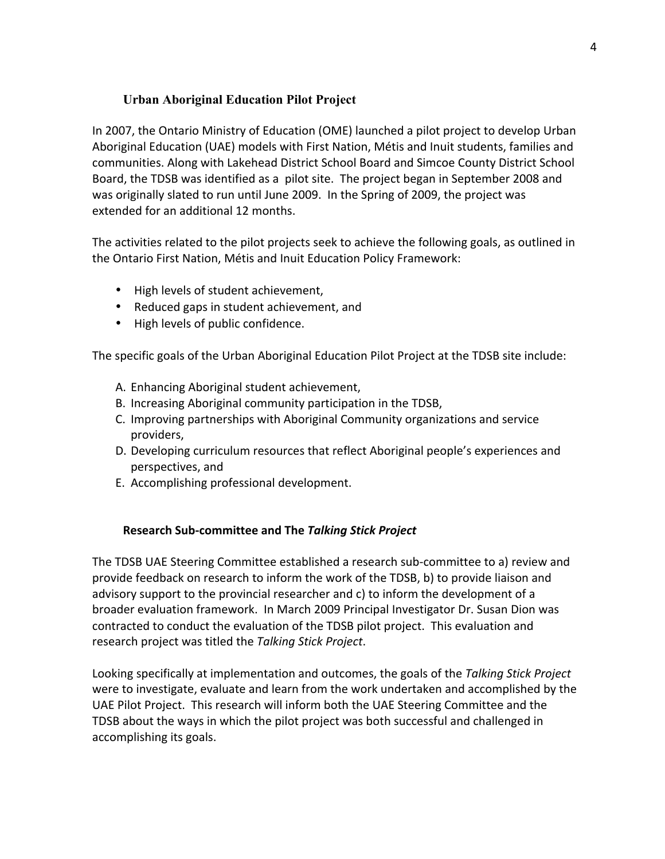# **Urban Aboriginal Education Pilot Project**

In 2007, the Ontario Ministry of Education (OME) launched a pilot project to develop Urban Aboriginal Education (UAE) models with First Nation, Métis and Inuit students, families and communities. Along with Lakehead District School Board and Simcoe County District School Board, the TDSB was identified as a pilot site. The project began in September 2008 and was originally slated to run until June 2009. In the Spring of 2009, the project was extended for an additional 12 months.

The activities related to the pilot projects seek to achieve the following goals, as outlined in the Ontario First Nation, Métis and Inuit Education Policy Framework:

- High levels of student achievement,
- Reduced gaps in student achievement, and
- High levels of public confidence.

The specific goals of the Urban Aboriginal Education Pilot Project at the TDSB site include:

- A. Enhancing Aboriginal student achievement,
- B. Increasing Aboriginal community participation in the TDSB,
- C. Improving partnerships with Aboriginal Community organizations and service providers,
- D. Developing curriculum resources that reflect Aboriginal people's experiences and perspectives, and
- E. Accomplishing professional development.

# **Research Sub-committee and The Talking Stick Project**

The TDSB UAE Steering Committee established a research sub-committee to a) review and provide feedback on research to inform the work of the TDSB, b) to provide liaison and advisory support to the provincial researcher and  $c$ ) to inform the development of a broader evaluation framework. In March 2009 Principal Investigator Dr. Susan Dion was contracted to conduct the evaluation of the TDSB pilot project. This evaluation and research\*project\*was\*titled\*the\**Talking(Stick(Project*.

Looking specifically at implementation and outcomes, the goals of the Talking Stick Project were to investigate, evaluate and learn from the work undertaken and accomplished by the UAE Pilot Project. This research will inform both the UAE Steering Committee and the TDSB about the ways in which the pilot project was both successful and challenged in accomplishing its goals.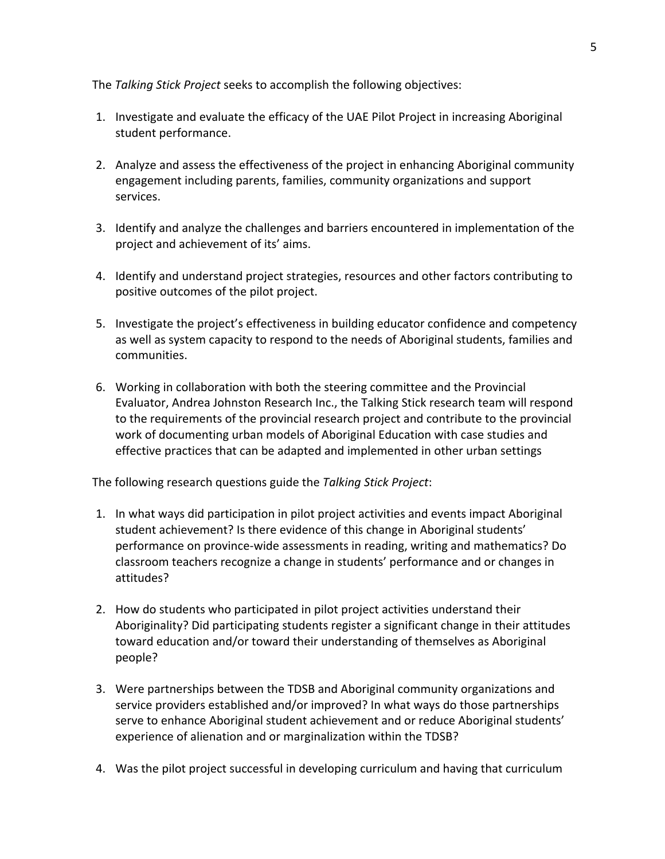The *Talking Stick Project* seeks to accomplish the following objectives:

- 1. Investigate and evaluate the efficacy of the UAE Pilot Project in increasing Aboriginal student performance.
- 2. Analyze and assess the effectiveness of the project in enhancing Aboriginal community engagement including parents, families, community organizations and support services.
- 3. Identify and analyze the challenges and barriers encountered in implementation of the project and achievement of its' aims.
- 4. Identify and understand project strategies, resources and other factors contributing to positive outcomes of the pilot project.
- 5. Investigate the project's effectiveness in building educator confidence and competency as well as system capacity to respond to the needs of Aboriginal students, families and communities.
- 6. Working in collaboration with both the steering committee and the Provincial Evaluator, Andrea Johnston Research Inc., the Talking Stick research team will respond to the requirements of the provincial research project and contribute to the provincial work of documenting urban models of Aboriginal Education with case studies and effective practices that can be adapted and implemented in other urban settings

The following research questions guide the *Talking Stick Project*:

- 1. In what ways did participation in pilot project activities and events impact Aboriginal student achievement? Is there evidence of this change in Aboriginal students' performance on province-wide assessments in reading, writing and mathematics? Do classroom teachers recognize a change in students' performance and or changes in attitudes?
- 2. How do students who participated in pilot project activities understand their Aboriginality? Did participating students register a significant change in their attitudes toward education and/or toward their understanding of themselves as Aboriginal people?
- 3. Were partnerships between the TDSB and Aboriginal community organizations and service providers established and/or improved? In what ways do those partnerships serve to enhance Aboriginal student achievement and or reduce Aboriginal students' experience of alienation and or marginalization within the TDSB?
- 4. Was the pilot project successful in developing curriculum and having that curriculum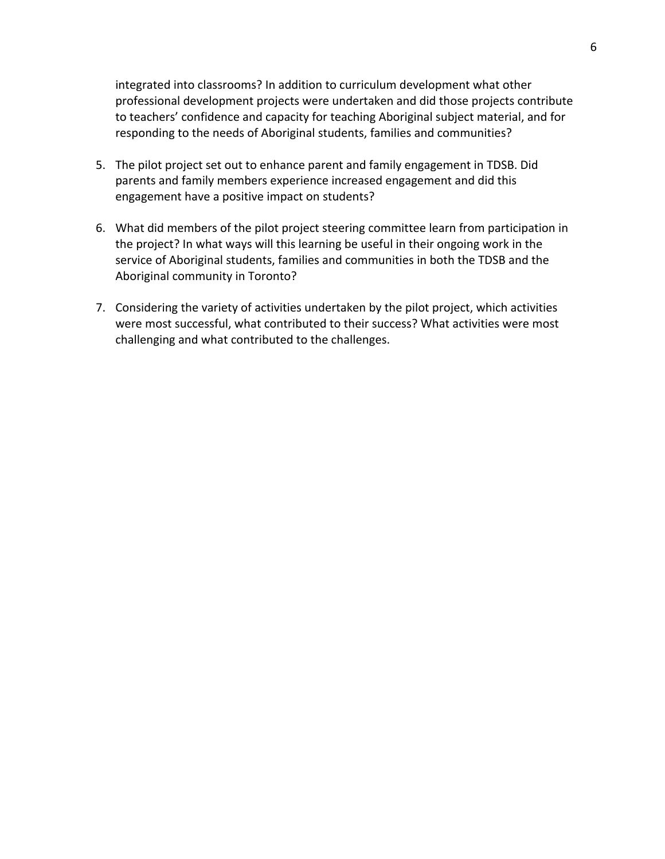integrated into classrooms? In addition to curriculum development what other professional development projects were undertaken and did those projects contribute to teachers' confidence and capacity for teaching Aboriginal subject material, and for responding to the needs of Aboriginal students, families and communities?

- 5. The pilot project set out to enhance parent and family engagement in TDSB. Did parents and family members experience increased engagement and did this engagement have a positive impact on students?
- 6. What did members of the pilot project steering committee learn from participation in the project? In what ways will this learning be useful in their ongoing work in the service of Aboriginal students, families and communities in both the TDSB and the Aboriginal community in Toronto?
- 7. Considering the variety of activities undertaken by the pilot project, which activities were most successful, what contributed to their success? What activities were most challenging and what contributed to the challenges.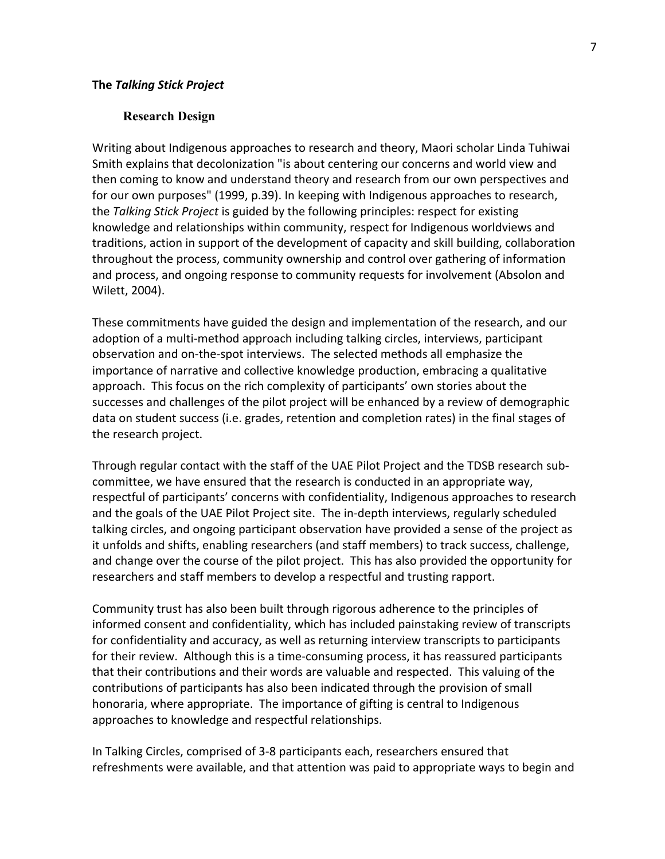#### **Research Design**

Writing about Indigenous approaches to research and theory, Maori scholar Linda Tuhiwai Smith explains that decolonization "is about centering our concerns and world view and then coming to know and understand theory and research from our own perspectives and for our own purposes" (1999, p.39). In keeping with Indigenous approaches to research, the *Talking Stick Project* is guided by the following principles: respect for existing knowledge and relationships within community, respect for Indigenous worldviews and traditions, action in support of the development of capacity and skill building, collaboration throughout the process, community ownership and control over gathering of information and process, and ongoing response to community requests for involvement (Absolon and Wilett, 2004).

These commitments have guided the design and implementation of the research, and our adoption of a multi-method approach including talking circles, interviews, participant observation and on-the-spot interviews. The selected methods all emphasize the importance of narrative and collective knowledge production, embracing a qualitative approach. This focus on the rich complexity of participants' own stories about the successes and challenges of the pilot project will be enhanced by a review of demographic data on student success (i.e. grades, retention and completion rates) in the final stages of the research project.

Through regular contact with the staff of the UAE Pilot Project and the TDSB research subcommittee, we have ensured that the research is conducted in an appropriate way, respectful of participants' concerns with confidentiality, Indigenous approaches to research and the goals of the UAE Pilot Project site. The in-depth interviews, regularly scheduled talking circles, and ongoing participant observation have provided a sense of the project as it unfolds and shifts, enabling researchers (and staff members) to track success, challenge, and change over the course of the pilot project. This has also provided the opportunity for researchers and staff members to develop a respectful and trusting rapport.

Community trust has also been built through rigorous adherence to the principles of informed consent and confidentiality, which has included painstaking review of transcripts for confidentiality and accuracy, as well as returning interview transcripts to participants for their review. Although this is a time-consuming process, it has reassured participants that their contributions and their words are valuable and respected. This valuing of the contributions of participants has also been indicated through the provision of small honoraria, where appropriate. The importance of gifting is central to Indigenous approaches to knowledge and respectful relationships.

In Talking Circles, comprised of 3-8 participants each, researchers ensured that refreshments were available, and that attention was paid to appropriate ways to begin and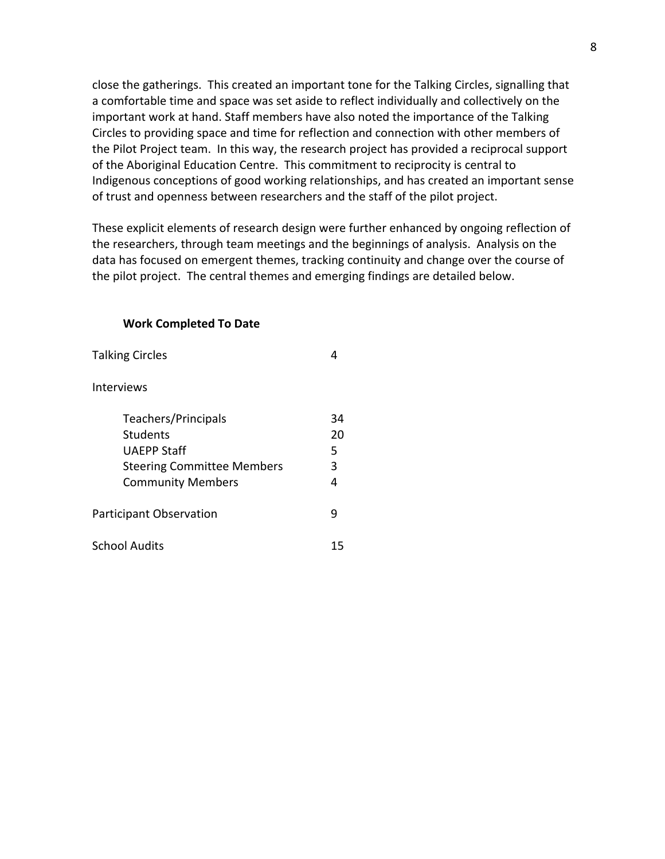close the gatherings. This created an important tone for the Talking Circles, signalling that a comfortable time and space was set aside to reflect individually and collectively on the important work at hand. Staff members have also noted the importance of the Talking Circles to providing space and time for reflection and connection with other members of the Pilot Project team. In this way, the research project has provided a reciprocal support of the Aboriginal Education Centre. This commitment to reciprocity is central to Indigenous conceptions of good working relationships, and has created an important sense of trust and openness between researchers and the staff of the pilot project.

These explicit elements of research design were further enhanced by ongoing reflection of the researchers, through team meetings and the beginnings of analysis. Analysis on the data has focused on emergent themes, tracking continuity and change over the course of the pilot project. The central themes and emerging findings are detailed below.

#### **Work Completed To Date**

| <b>Talking Circles</b>            |    |
|-----------------------------------|----|
| <b>Interviews</b>                 |    |
| Teachers/Principals               | 34 |
| Students                          | 20 |
| UAFPP Staff                       | 5  |
| <b>Steering Committee Members</b> | 3  |
| <b>Community Members</b>          | 4  |
| <b>Participant Observation</b>    | q  |
| <b>School Audits</b>              | 15 |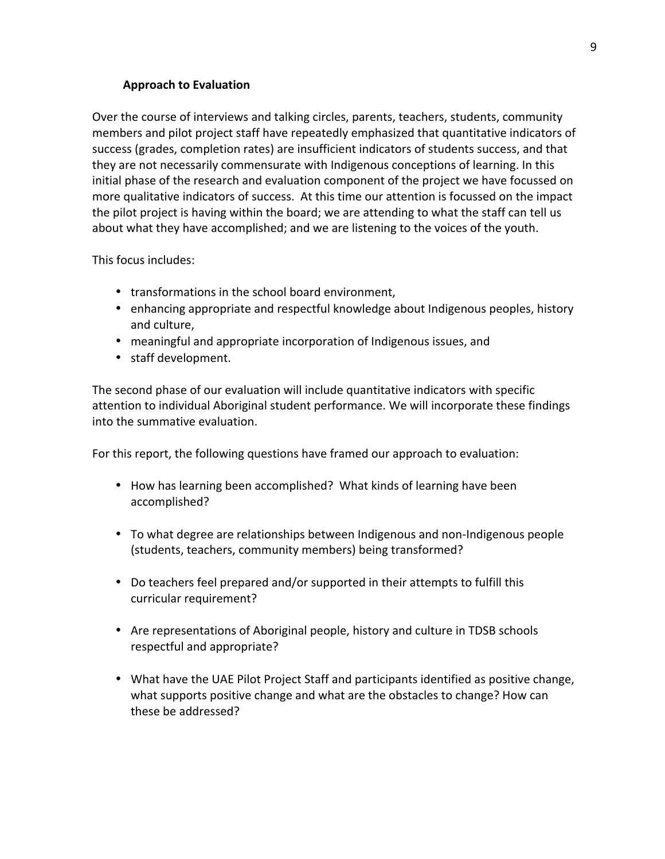# **Approach to Evaluation**

Over the course of interviews and talking circles, parents, teachers, students, community members and pilot project staff have repeatedly emphasized that quantitative indicators of success (grades, completion rates) are insufficient indicators of students success, and that they are not necessarily commensurate with Indigenous conceptions of learning. In this initial phase of the research and evaluation component of the project we have focussed on more qualitative indicators of success. At this time our attention is focussed on the impact the pilot project is having within the board; we are attending to what the staff can tell us about what they have accomplished; and we are listening to the voices of the youth.

This focus includes:

- transformations in the school board environment,
- enhancing appropriate and respectful knowledge about Indigenous peoples, history and culture,
- meaningful and appropriate incorporation of Indigenous issues, and
- staff development.

The second phase of our evaluation will include quantitative indicators with specific attention to individual Aboriginal student performance. We will incorporate these findings into the summative evaluation.

For this report, the following questions have framed our approach to evaluation:

- How has learning been accomplished? What kinds of learning have been accomplished?
- To what degree are relationships between Indigenous and non-Indigenous people (students, teachers, community members) being transformed?
- Do teachers feel prepared and/or supported in their attempts to fulfill this curricular requirement?
- Are representations of Aboriginal people, history and culture in TDSB schools respectful and appropriate?
- What have the UAE Pilot Project Staff and participants identified as positive change, what supports positive change and what are the obstacles to change? How can these be addressed?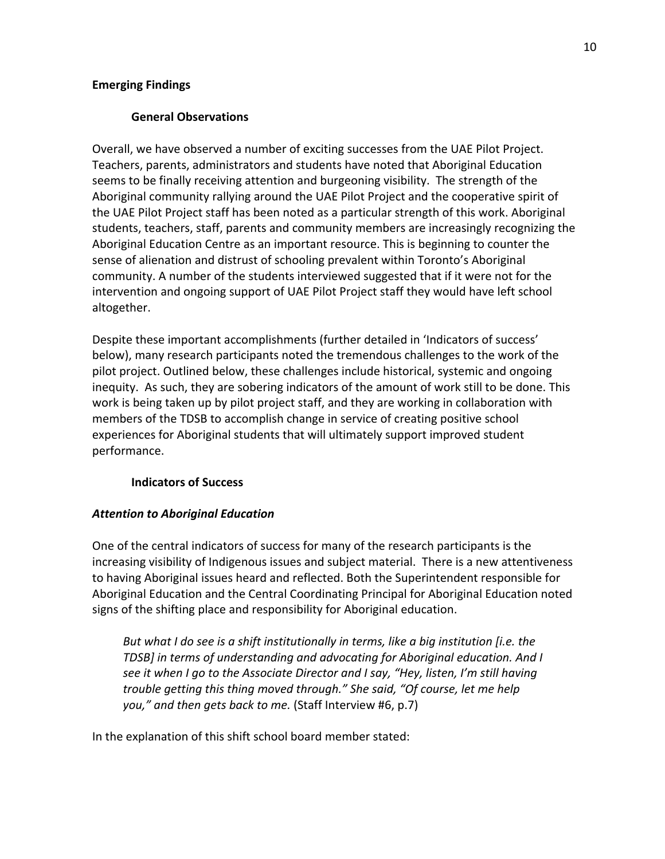# **Emerging Findings**

# **General!Observations**

Overall, we have observed a number of exciting successes from the UAE Pilot Project. Teachers, parents, administrators and students have noted that Aboriginal Education seems to be finally receiving attention and burgeoning visibility. The strength of the Aboriginal community rallying around the UAE Pilot Project and the cooperative spirit of the UAE Pilot Project staff has been noted as a particular strength of this work. Aboriginal students, teachers, staff, parents and community members are increasingly recognizing the Aboriginal Education Centre as an important resource. This is beginning to counter the sense of alienation and distrust of schooling prevalent within Toronto's Aboriginal community. A number of the students interviewed suggested that if it were not for the intervention and ongoing support of UAE Pilot Project staff they would have left school altogether.

Despite these important accomplishments (further detailed in 'Indicators of success' below), many research participants noted the tremendous challenges to the work of the pilot project. Outlined below, these challenges include historical, systemic and ongoing inequity. As such, they are sobering indicators of the amount of work still to be done. This work is being taken up by pilot project staff, and they are working in collaboration with members of the TDSB to accomplish change in service of creating positive school experiences for Aboriginal students that will ultimately support improved student performance.\*

## **Indicators!of!Success**

# **Attention to Aboriginal Education**

One of the central indicators of success for many of the research participants is the increasing visibility of Indigenous issues and subject material. There is a new attentiveness to having Aboriginal issues heard and reflected. Both the Superintendent responsible for Aboriginal Education and the Central Coordinating Principal for Aboriginal Education noted signs of the shifting place and responsibility for Aboriginal education.

*But what I do see is a shift institutionally in terms, like a big institution [i.e. the TDSB]* in terms of understanding and advocating for Aboriginal education. And I *see it when I go to the Associate Director and I say, "Hey, listen, I'm still having trouble getting this thing moved through." She said, "Of course, let me help you,"* and then gets back to me. (Staff Interview #6, p.7)

In the explanation of this shift school board member stated: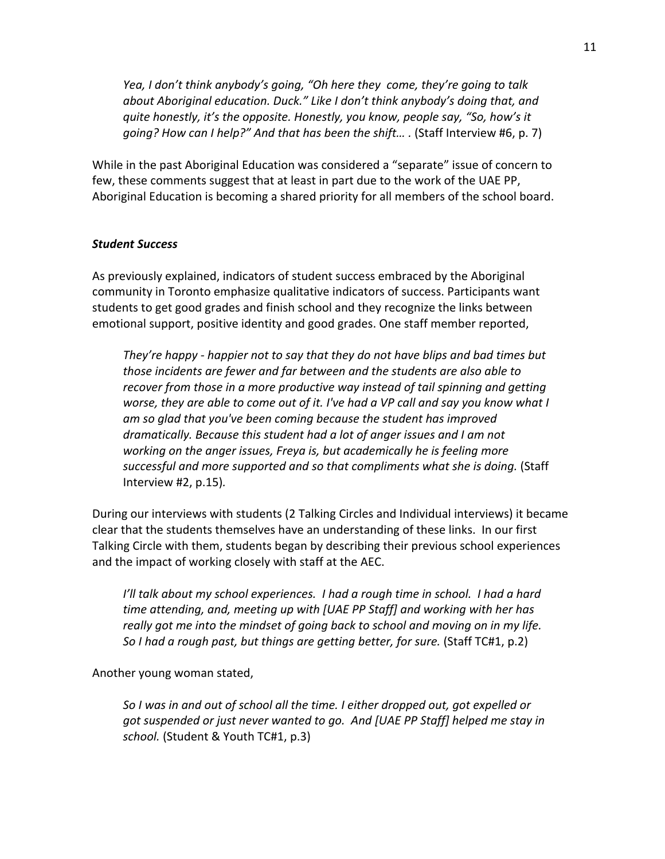*Yea, I don't think anybody's going, "Oh here they come, they're going to talk about Aboriginal education. Duck." Like I don't think anybody's doing that, and quite honestly, it's the opposite. Honestly, you know, people say, "So, how's it going? How can I help?" And that has been the shift...* . (Staff Interview #6, p. 7)

While in the past Aboriginal Education was considered a "separate" issue of concern to few, these comments suggest that at least in part due to the work of the UAE PP, Aboriginal Education is becoming a shared priority for all members of the school board.

#### **Student Success**

As previously explained, indicators of student success embraced by the Aboriginal community in Toronto emphasize qualitative indicators of success. Participants want students to get good grades and finish school and they recognize the links between emotional support, positive identity and good grades. One staff member reported,

*They're happy - happier not to say that they do not have blips and bad times but* those incidents are fewer and far between and the students are also able to recover from those in a more productive way instead of tail spinning and getting *worse, they are able to come out of it. I've had a VP call and say you know what I* am so glad that you've been coming because the student has improved *dramatically. Because this student had a lot of anger issues and I am not working on the anger issues, Freya is, but academically he is feeling more successful and more supported and so that compliments what she is doing.* (Staff Interview\*#2,\*p.15)*.*

During our interviews with students (2 Talking Circles and Individual interviews) it became clear that the students themselves have an understanding of these links. In our first Talking Circle with them, students began by describing their previous school experiences and the impact of working closely with staff at the AEC.

*I'll talk about my school experiences.* I had a rough time in school. I had a hard *time attending, and, meeting up with [UAE PP Staff] and working with her has* really got me into the mindset of going back to school and moving on in my life. *So I had a rough past, but things are getting better, for sure.* (Staff TC#1, p.2)

Another young woman stated,

*So I was in and out of school all the time. I either dropped out, got expelled or got suspended or just never wanted to go. And [UAE PP Staff] helped me stay in school.* (Student & Youth TC#1, p.3)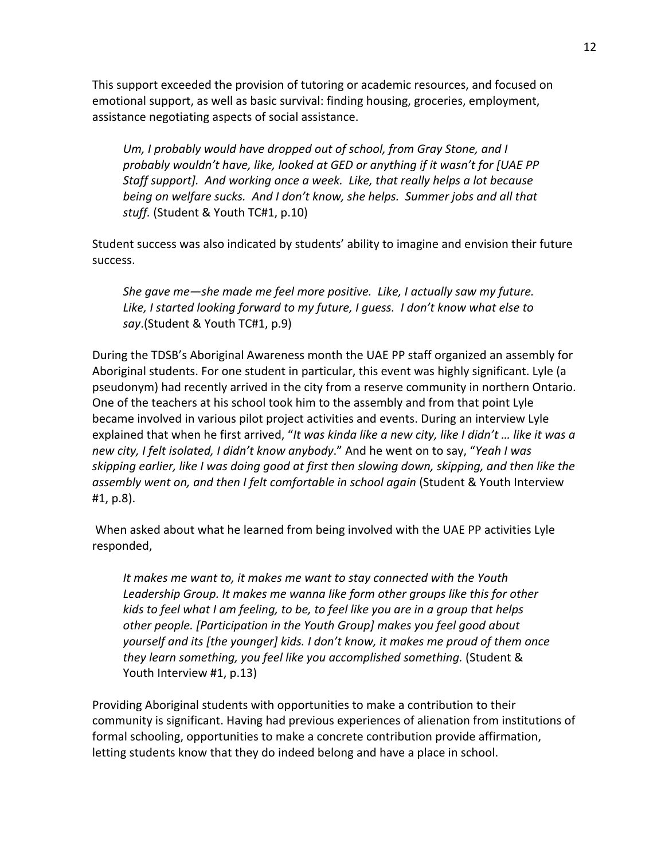This support exceeded the provision of tutoring or academic resources, and focused on emotional support, as well as basic survival: finding housing, groceries, employment, assistance negotiating aspects of social assistance.

*Um, I probably would have dropped out of school, from Gray Stone, and I* probably wouldn't have, like, looked at GED or anything if it wasn't for [UAE PP *Staff support]. And working once a week. Like, that really helps a lot because being on welfare sucks. And I don't know, she helps. Summer jobs and all that stuff.* (Student & Youth TC#1, p.10)

Student success was also indicated by students' ability to imagine and envision their future success.

*She gave me—she made me feel more positive. Like, I actually saw my future. Like, I started looking forward to my future, I guess. I don't know what else to say*.(Student\*&\*Youth\*TC#1,\*p.9)

During the TDSB's Aboriginal Awareness month the UAE PP staff organized an assembly for Aboriginal students. For one student in particular, this event was highly significant. Lyle (a pseudonym) had recently arrived in the city from a reserve community in northern Ontario. One of the teachers at his school took him to the assembly and from that point Lyle became involved in various pilot project activities and events. During an interview Lyle explained that when he first arrived, "It was kinda like a new city, like I didn't ... like it was a *new city, I felt isolated, I didn't know anybody."* And he went on to say, "Yeah I was *skipping earlier, like I was doing good at first then slowing down, skipping, and then like the* assembly went on, and then I felt comfortable in school again (Student & Youth Interview #1, p.8).

When asked about what he learned from being involved with the UAE PP activities Lyle responded,

*It makes me want to, it makes me want to stay connected with the Youth* Leadership Group. It makes me wanna like form other groups like this for other *kids to feel what I am feeling, to be, to feel like you are in a group that helps other people.* [Participation in the Youth Group] makes you feel good about *yourself and its [the younger] kids. I don't know, it makes me proud of them once* they learn something, you feel like you accomplished something. (Student & Youth Interview #1, p.13)

Providing Aboriginal students with opportunities to make a contribution to their community is significant. Having had previous experiences of alienation from institutions of formal schooling, opportunities to make a concrete contribution provide affirmation, letting students know that they do indeed belong and have a place in school.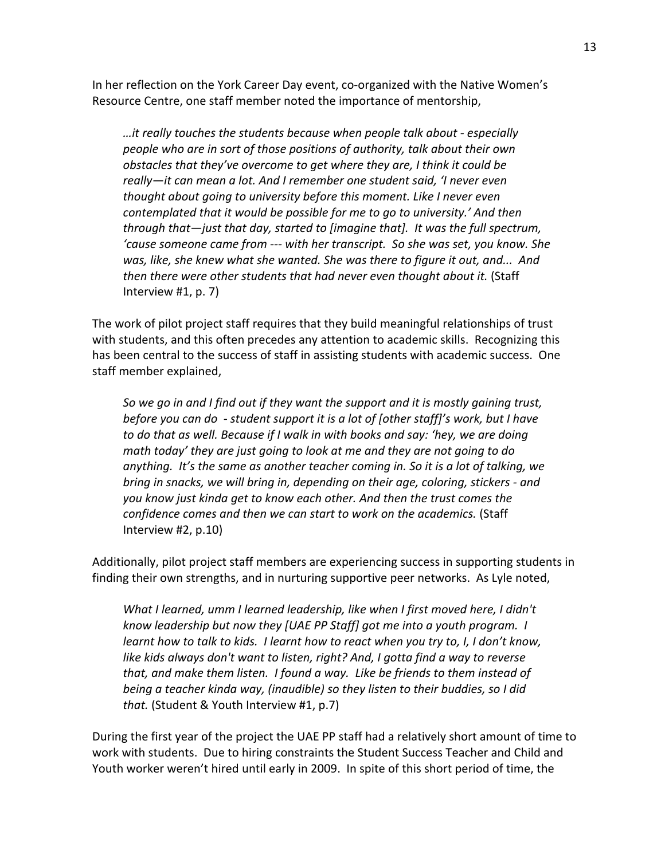In her reflection on the York Career Day event, co-organized with the Native Women's Resource Centre, one staff member noted the importance of mentorship,

…it really touches the students because when people talk about - especially *people who are in sort of those positions of authority, talk about their own obstacles that they've overcome to get where they are, I think it could be* really—it can mean a lot. And I remember one student said, 'I never even *thought about going to university before this moment. Like I never even contemplated that it would be possible for me to go to university.' And then* through that—just that day, started to [imagine that]. It was the full spectrum, 'cause someone came from --- with her transcript. So she was set, you know. She *was, like, she knew what she wanted. She was there to figure it out, and... And* then there were other students that had never even thought about it. (Staff Interview  $#1$ , p. 7)

The work of pilot project staff requires that they build meaningful relationships of trust with students, and this often precedes any attention to academic skills. Recognizing this has been central to the success of staff in assisting students with academic success. One staff member explained,

*So we go in and I find out if they want the support and it is mostly gaining trust, before you can do - student support it is a lot of [other staff]'s work, but I have* to do that as well. Because if I walk in with books and say: 'hey, we are doing *math today' they are just going to look at me and they are not going to do anything. It's the same as another teacher coming in. So it is a lot of talking, we bring in snacks, we will bring in, depending on their age, coloring, stickers - and you know just kinda get to know each other. And then the trust comes the confidence comes and then we can start to work on the academics.* (Staff Interview  $#2$ , p.10)

Additionally, pilot project staff members are experiencing success in supporting students in finding their own strengths, and in nurturing supportive peer networks. As Lyle noted,

*What I learned, umm I learned leadership, like when I first moved here, I didn't know leadership but now they [UAE PP Staff] got me into a youth program. I learnt how to talk to kids. I learnt how to react when you try to, I, I don't know, like kids always don't want to listen, right? And, I gotta find a way to reverse* that, and make them listen. I found a way. Like be friends to them instead of *being a teacher kinda way, (inaudible)* so they listen to their buddies, so I did *that.* (Student & Youth Interview #1, p.7)

During the first year of the project the UAE PP staff had a relatively short amount of time to work with students. Due to hiring constraints the Student Success Teacher and Child and Youth worker weren't hired until early in 2009. In spite of this short period of time, the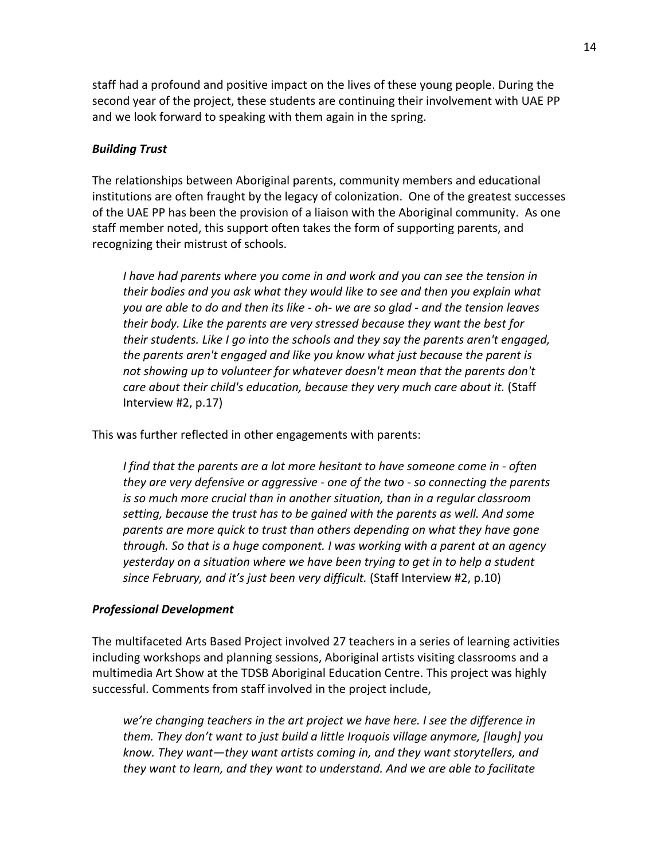staff had a profound and positive impact on the lives of these young people. During the second year of the project, these students are continuing their involvement with UAE PP and we look forward to speaking with them again in the spring.

# **Building Trust**

The relationships between Aboriginal parents, community members and educational institutions are often fraught by the legacy of colonization. One of the greatest successes of the UAE PP has been the provision of a liaison with the Aboriginal community. As one staff member noted, this support often takes the form of supporting parents, and recognizing their mistrust of schools.

*I* have had parents where you come in and work and you can see the tension in *their bodies and you ask what they would like to see and then you explain what you are able to do and then its like - oh- we are so glad - and the tension leaves their body. Like the parents are very stressed because they want the best for* their students. Like I go into the schools and they say the parents aren't engaged, *the parents aren't engaged and like you know what just because the parent is not showing up to volunteer for whatever doesn't mean that the parents don't care about their child's education, because they very much care about it.* (Staff Interview  $#2$ , p.17)

This was further reflected in other engagements with parents:

*I* find that the parents are a lot more hesitant to have someone come in - often *they are very defensive or aggressive - one of the two - so connecting the parents is so much more crucial than in another situation, than in a regular classroom setting, because the trust has to be gained with the parents as well. And some parents are more quick to trust than others depending on what they have gone through.* So that is a huge component. I was working with a parent at an agency *yesterday on a situation where we have been trying to get in to help a student* since February, and it's just been very difficult. (Staff Interview #2, p.10)

## **Professional Development**

The multifaceted Arts Based Project involved 27 teachers in a series of learning activities including workshops and planning sessions, Aboriginal artists visiting classrooms and a multimedia Art Show at the TDSB Aboriginal Education Centre. This project was highly successful. Comments from staff involved in the project include,

*we're changing teachers in the art project we have here. I see the difference in them.* They don't want to just build a little Iroquois village anymore, [laugh] you *know.* They want—they want artists coming in, and they want storytellers, and they want to learn, and they want to understand. And we are able to facilitate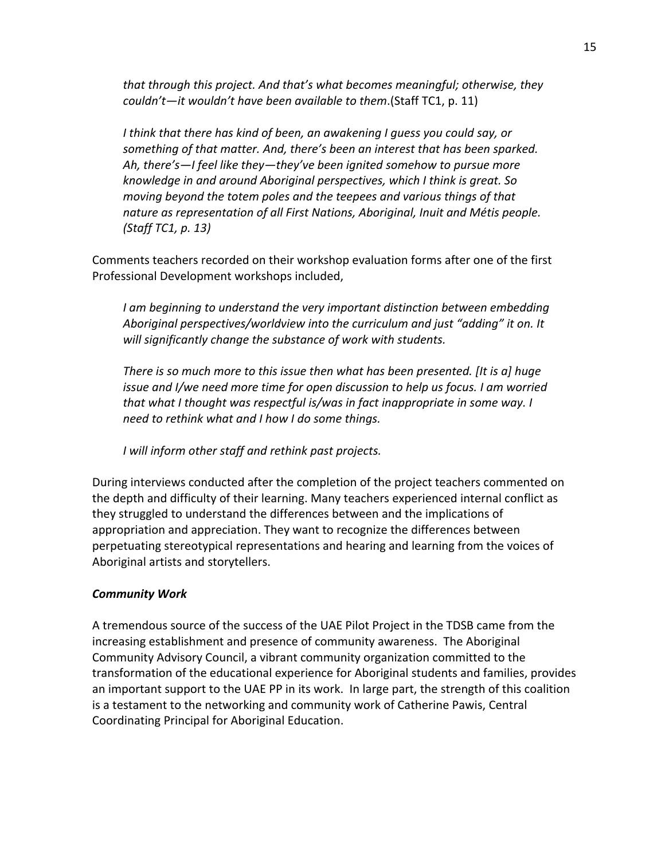*that through this project. And that's what becomes meaningful; otherwise, they couldn't—it wouldn't have been available to them.*(Staff TC1, p. 11)

*I* think that there has kind of been, an awakening I quess you could say, or something of that matter. And, there's been an interest that has been sparked. Ah, there's—I feel like they—they've been ignited somehow to pursue more *knowledge in and around Aboriginal perspectives, which I think is great. So moving beyond the totem poles and the teepees and various things of that* nature as representation of all First Nations, Aboriginal, Inuit and Métis people. *(Staff TC1, p. 13)* 

Comments teachers recorded on their workshop evaluation forms after one of the first Professional Development workshops included,

*I* am beginning to understand the very important distinction between embedding Aboriginal perspectives/worldview into the curriculum and just "adding" it on. It *will significantly change the substance of work with students.* 

*There is so much more to this issue then what has been presented. [It is a] huge issue and I/we need more time for open discussion to help us focus. I am worried that what I thought was respectful is/was in fact inappropriate in some way. I need to rethink what and I how I do some things.* 

*I* will inform other staff and rethink past projects.

During interviews conducted after the completion of the project teachers commented on the depth and difficulty of their learning. Many teachers experienced internal conflict as they struggled to understand the differences between and the implications of appropriation and appreciation. They want to recognize the differences between perpetuating stereotypical representations and hearing and learning from the voices of Aboriginal artists and storytellers.

## *Community(Work*

A tremendous source of the success of the UAE Pilot Project in the TDSB came from the increasing establishment and presence of community awareness. The Aboriginal Community Advisory Council, a vibrant community organization committed to the transformation of the educational experience for Aboriginal students and families, provides an important support to the UAE PP in its work. In large part, the strength of this coalition is a testament to the networking and community work of Catherine Pawis, Central Coordinating Principal for Aboriginal Education.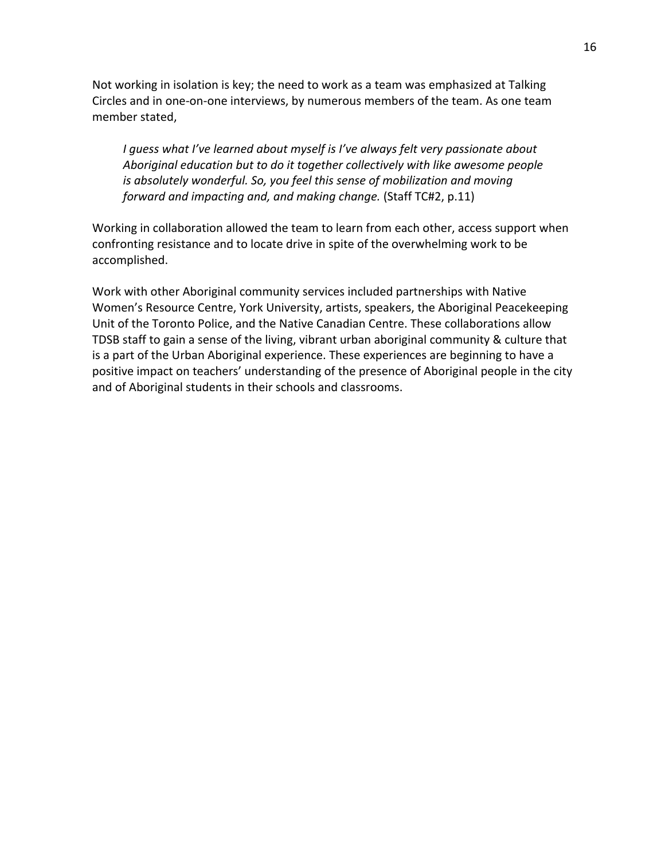Not working in isolation is key; the need to work as a team was emphasized at Talking Circles and in one-on-one interviews, by numerous members of the team. As one team member stated,

*I* guess what I've learned about myself is I've always felt very passionate about Aboriginal education but to do it together collectively with like awesome people *is absolutely wonderful. So, you feel this sense of mobilization and moving forward and impacting and, and making change.* (Staff TC#2, p.11)

Working in collaboration allowed the team to learn from each other, access support when confronting resistance and to locate drive in spite of the overwhelming work to be accomplished.

Work with other Aboriginal community services included partnerships with Native Women's Resource Centre, York University, artists, speakers, the Aboriginal Peacekeeping Unit of the Toronto Police, and the Native Canadian Centre. These collaborations allow TDSB staff to gain a sense of the living, vibrant urban aboriginal community & culture that is a part of the Urban Aboriginal experience. These experiences are beginning to have a positive impact on teachers' understanding of the presence of Aboriginal people in the city and of Aboriginal students in their schools and classrooms.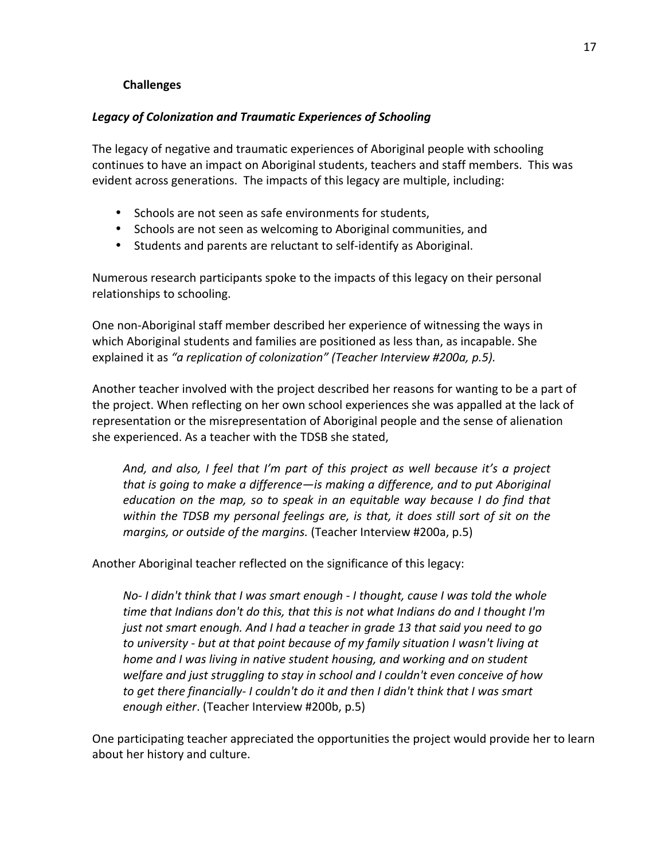# **Challenges**

# Legacy of Colonization and Traumatic Experiences of Schooling

The legacy of negative and traumatic experiences of Aboriginal people with schooling continues to have an impact on Aboriginal students, teachers and staff members. This was evident across generations. The impacts of this legacy are multiple, including:

- Schools are not seen as safe environments for students,
- Schools are not seen as welcoming to Aboriginal communities, and
- Students and parents are reluctant to self-identify as Aboriginal.

Numerous research participants spoke to the impacts of this legacy on their personal relationships to schooling.

One non-Aboriginal staff member described her experience of witnessing the ways in which Aboriginal students and families are positioned as less than, as incapable. She explained it as "a replication of colonization" (Teacher Interview #200a, p.5).

Another teacher involved with the project described her reasons for wanting to be a part of the project. When reflecting on her own school experiences she was appalled at the lack of representation or the misrepresentation of Aboriginal people and the sense of alienation she experienced. As a teacher with the TDSB she stated,

*And, and also, I feel that I'm part of this project as well because it's a project that is going to make a difference—is making a difference, and to put Aboriginal education on the map, so to speak in an equitable way because I do find that* within the TDSB my personal feelings are, is that, it does still sort of sit on the *margins, or outside of the margins.* (Teacher Interview #200a, p.5)

Another Aboriginal teacher reflected on the significance of this legacy:

*No-I didn't think that I was smart enough - I thought, cause I was told the whole time that Indians don't do this, that this is not what Indians do and I thought I'm just not smart enough. And I had a teacher in grade 13 that said you need to go to university - but at that point because of my family situation I wasn't living at home and I was living in native student housing, and working and on student welfare and just struggling to stay in school and I couldn't even conceive of how to get there financially-I couldn't do it and then I didn't think that I was smart enough either.* (Teacher Interview #200b, p.5)

One participating teacher appreciated the opportunities the project would provide her to learn about her history and culture.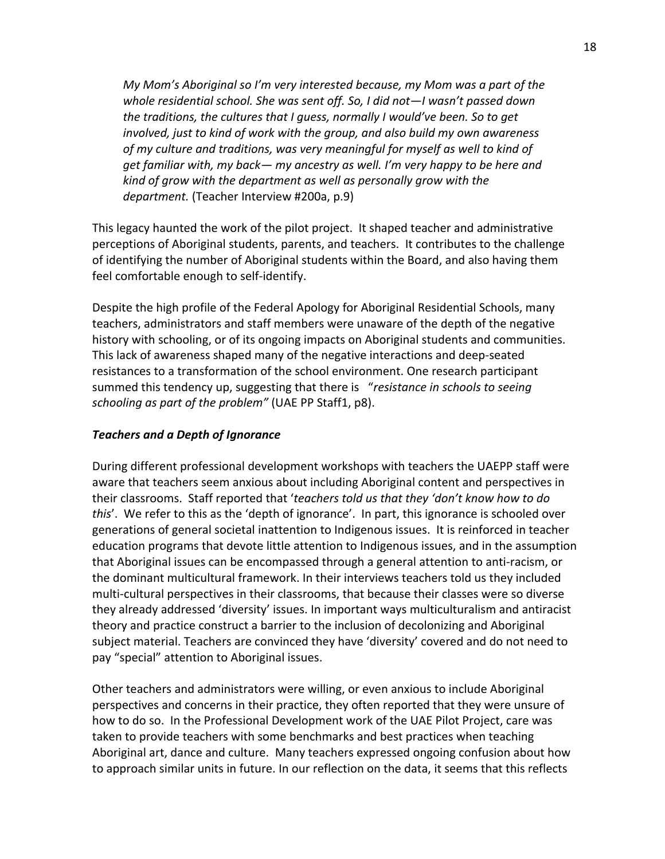*My Mom's Aboriginal so I'm very interested because, my Mom was a part of the* whole residential school. She was sent off. So, I did not—I wasn't passed down *the traditions, the cultures that I guess, normally I would've been. So to get involved, just to kind of work with the group, and also build my own awareness* of my culture and traditions, was very meaningful for myself as well to kind of *get familiar with, my back— my ancestry as well. I'm very happy to be here and kind of grow with the department as well as personally grow with the* department. (Teacher Interview #200a, p.9)

This legacy haunted the work of the pilot project. It shaped teacher and administrative perceptions of Aboriginal students, parents, and teachers. It contributes to the challenge of identifying the number of Aboriginal students within the Board, and also having them feel comfortable enough to self-identify.

Despite the high profile of the Federal Apology for Aboriginal Residential Schools, many teachers, administrators and staff members were unaware of the depth of the negative history with schooling, or of its ongoing impacts on Aboriginal students and communities. This lack of awareness shaped many of the negative interactions and deep-seated resistances to a transformation of the school environment. One research participant summed this tendency up, suggesting that there is *"resistance in schools to seeing* schooling as part of the problem" (UAE PP Staff1, p8).

## **Teachers and a Depth of Ignorance**

During different professional development workshops with teachers the UAEPP staff were aware that teachers seem anxious about including Aboriginal content and perspectives in their classrooms. Staff reported that '*teachers told us that they 'don't know how to do this'*. We refer to this as the 'depth of ignorance'. In part, this ignorance is schooled over generations of general societal inattention to Indigenous issues. It is reinforced in teacher education programs that devote little attention to Indigenous issues, and in the assumption that Aboriginal issues can be encompassed through a general attention to anti-racism, or the dominant multicultural framework. In their interviews teachers told us they included multi-cultural perspectives in their classrooms, that because their classes were so diverse they already addressed 'diversity' issues. In important ways multiculturalism and antiracist theory and practice construct a barrier to the inclusion of decolonizing and Aboriginal subject material. Teachers are convinced they have 'diversity' covered and do not need to pay "special" attention to Aboriginal issues.

Other teachers and administrators were willing, or even anxious to include Aboriginal perspectives and concerns in their practice, they often reported that they were unsure of how to do so. In the Professional Development work of the UAE Pilot Project, care was taken to provide teachers with some benchmarks and best practices when teaching Aboriginal art, dance and culture. Many teachers expressed ongoing confusion about how to approach similar units in future. In our reflection on the data, it seems that this reflects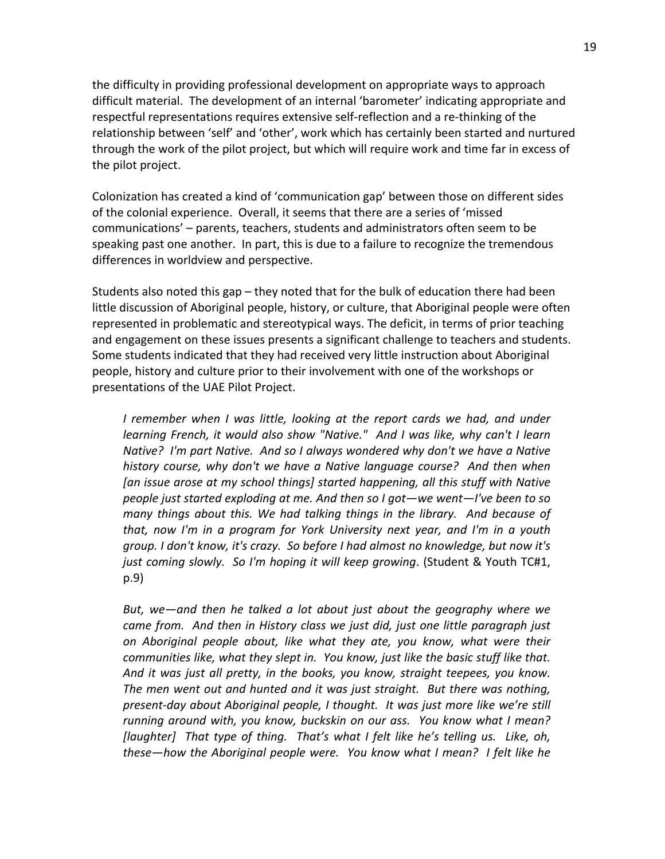the difficulty in providing professional development on appropriate ways to approach difficult material. The development of an internal 'barometer' indicating appropriate and respectful representations requires extensive self-reflection and a re-thinking of the relationship between 'self' and 'other', work which has certainly been started and nurtured through the work of the pilot project, but which will require work and time far in excess of the pilot project.

Colonization has created a kind of 'communication gap' between those on different sides of the colonial experience. Overall, it seems that there are a series of 'missed communications' – parents, teachers, students and administrators often seem to be speaking past one another. In part, this is due to a failure to recognize the tremendous differences in worldview and perspective.

Students also noted this gap – they noted that for the bulk of education there had been little discussion of Aboriginal people, history, or culture, that Aboriginal people were often represented in problematic and stereotypical ways. The deficit, in terms of prior teaching and engagement on these issues presents a significant challenge to teachers and students. Some students indicated that they had received very little instruction about Aboriginal people, history and culture prior to their involvement with one of the workshops or presentations of the UAE Pilot Project.

*I* remember when *I* was little, looking at the report cards we had, and under *learning French, it would also show "Native." And I was like, why can't I learn Native? I'm part Native. And so I always wondered why don't we have a Native history course, why don't we have a Native language course? And then when* [an issue arose at my school things] started happening, all this stuff with Native people just started exploding at me. And then so I got—we went—I've been to so *many things about this. We had talking things in the library. And because of that, now I'm in a program for York University next year, and I'm in a youth group.* I don't know, it's crazy. So before I had almost no knowledge, but now it's *just coming slowly. So I'm hoping it will keep growing.* (Student & Youth TC#1, p.9)

*But, we—and then he talked a lot about just about the geography where we* came from. And then in History class we just did, just one little paragraph just *on Aboriginal people about, like what they ate, you know, what were their* communities like, what they slept in. You know, just like the basic stuff like that. And it was just all pretty, in the books, you know, straight teepees, you know. *The men went out and hunted and it was just straight. But there was nothing, present-day about Aboriginal people, I thought. It was just more like we're still running around with, you know, buckskin on our ass. You know what I mean?* [laughter] That type of thing. That's what I felt like he's telling us. Like, oh, *these—how the Aboriginal people were.* You know what I mean? I felt like he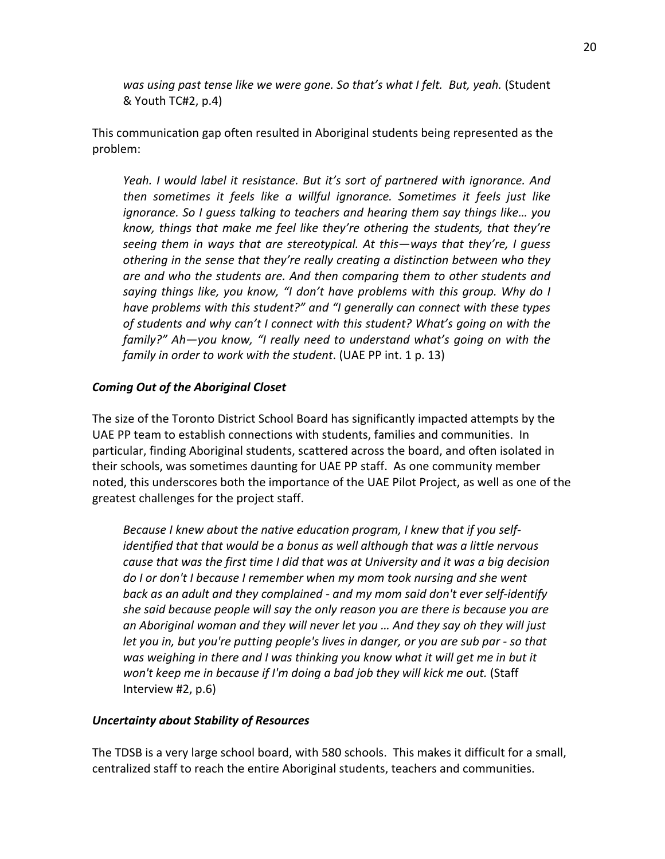was using past tense like we were gone. So that's what I felt. But, yeah. (Student  $&$  Youth TC#2, p.4)

This communication gap often resulted in Aboriginal students being represented as the problem:\*

*Yeah. I would label it resistance. But it's sort of partnered with ignorance. And then sometimes it feels like a willful ignorance. Sometimes it feels just like ignorance.* So I guess talking to teachers and hearing them say things like... you *know, things that make me feel like they're othering the students, that they're* seeing them in ways that are stereotypical. At this—ways that they're, I quess *othering in the sense that they're really creating a distinction between who they are and who the students are. And then comparing them to other students and* saying things like, you know, "I don't have problems with this group. Why do I *have problems with this student?" and "I generally can connect with these types of students and why can't I connect with this student? What's going on with the* family?" Ah—you know, "I really need to understand what's going on with the *family in order to work with the student.* (UAE PP int. 1 p. 13)

# **Coming Out of the Aboriginal Closet**

The size of the Toronto District School Board has significantly impacted attempts by the UAE PP team to establish connections with students, families and communities. In particular, finding Aboriginal students, scattered across the board, and often isolated in their schools, was sometimes daunting for UAE PP staff. As one community member noted, this underscores both the importance of the UAE Pilot Project, as well as one of the greatest challenges for the project staff.

*Because I knew about the native education program, I knew that if you selfidentified that that would be a bonus as well although that was a little nervous cause that was the first time I did that was at University and it was a big decision do I or don't I because I remember when my mom took nursing and she went back as an adult and they complained - and my mom said don't ever self-identify she said because people will say the only reason you are there is because you are* an Aboriginal woman and they will never let you ... And they say oh they will just *let you in, but you're putting people's lives in danger, or you are sub par - so that* was weighing in there and I was thinking you know what it will get me in but it *won't keep me in because if I'm doing a bad job they will kick me out.* (Staff Interview  $#2$ , p.6)

## *Uncertainty about Stability of Resources*

The TDSB is a very large school board, with 580 schools. This makes it difficult for a small, centralized staff to reach the entire Aboriginal students, teachers and communities.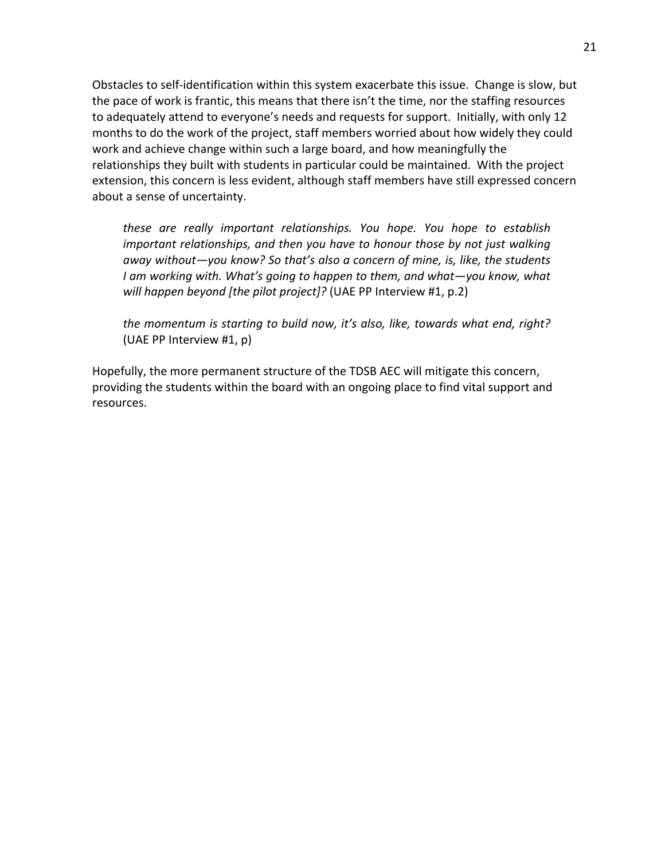Obstacles to self-identification within this system exacerbate this issue. Change is slow, but the pace of work is frantic, this means that there isn't the time, nor the staffing resources to adequately attend to everyone's needs and requests for support. Initially, with only 12 months to do the work of the project, staff members worried about how widely they could work and achieve change within such a large board, and how meaningfully the relationships they built with students in particular could be maintained. With the project extension, this concern is less evident, although staff members have still expressed concern about a sense of uncertainty.

*these are really important relationships. You hope. You hope to establish important relationships, and then you have to honour those by not just walking away without—you know? So that's also a concern of mine, is, like, the students I* am working with. What's going to happen to them, and what—you know, what *will happen beyond [the pilot project]?* (UAE PP Interview #1, p.2)

*the momentum is starting to build now, it's also, like, towards what end, right?* (UAE PP Interview  $#1$ , p)

Hopefully, the more permanent structure of the TDSB AEC will mitigate this concern, providing the students within the board with an ongoing place to find vital support and resources.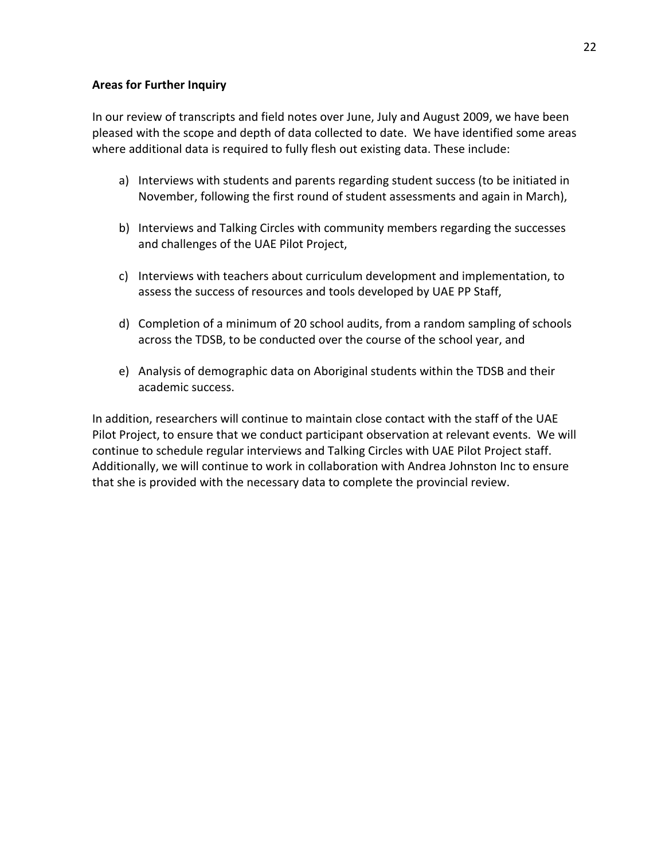#### **Areas for Further Inquiry**

In our review of transcripts and field notes over June, July and August 2009, we have been pleased with the scope and depth of data collected to date. We have identified some areas where additional data is required to fully flesh out existing data. These include:

- a) Interviews with students and parents regarding student success (to be initiated in November, following the first round of student assessments and again in March),
- b) Interviews and Talking Circles with community members regarding the successes and challenges of the UAE Pilot Project,
- c) Interviews with teachers about curriculum development and implementation, to assess the success of resources and tools developed by UAE PP Staff,
- d) Completion of a minimum of 20 school audits, from a random sampling of schools across the TDSB, to be conducted over the course of the school year, and
- e) Analysis of demographic data on Aboriginal students within the TDSB and their academic success.

In addition, researchers will continue to maintain close contact with the staff of the UAE Pilot Project, to ensure that we conduct participant observation at relevant events. We will continue to schedule regular interviews and Talking Circles with UAE Pilot Project staff. Additionally, we will continue to work in collaboration with Andrea Johnston Inc to ensure that she is provided with the necessary data to complete the provincial review.